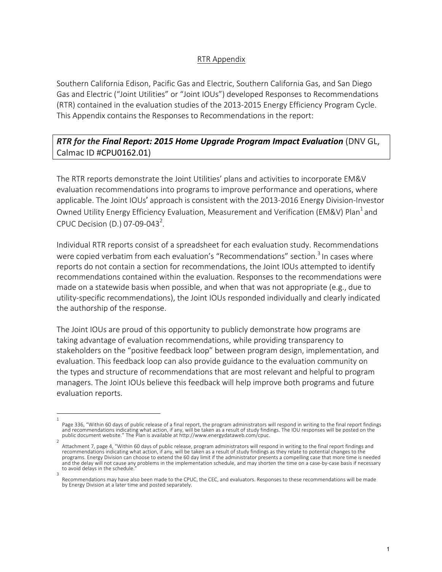## RTR Appendix

Southern California Edison, Pacific Gas and Electric, Southern California Gas, and San Diego Gas and Electric ("Joint Utilities" or "Joint IOUs") developed Responses to Recommendations (RTR) contained in the evaluation studies of the 2013-2015 Energy Efficiency Program Cycle. This Appendix contains the Responses to Recommendations in the report:

## *RTR for the Final Report: 2015 Home Upgrade Program Impact Evaluation* **(DNV GL,** Calmac ID #CPU0162.01)

The RTR reports demonstrate the Joint Utilities' plans and activities to incorporate EM&V evaluation recommendations into programs to improve performance and operations, where applicable. The Joint IOUs' approach is consistent with the 2013-2016 Energy Division-Investor Owned Utility Energy Efficiency Evaluation, Measurement and Verification (EM&V) Plan<sup>1</sup> and CPUC Decision (D.) 07-09-043<sup>2</sup>.

Individual RTR reports consist of a spreadsheet for each evaluation study. Recommendations were copied verbatim from each evaluation's "Recommendations" section.<sup>3</sup> In cases where reports do not contain a section for recommendations, the Joint IOUs attempted to identify recommendations contained within the evaluation. Responses to the recommendations were made on a statewide basis when possible, and when that was not appropriate  $(e.g.,$  due to utility-specific recommendations), the Joint IOUs responded individually and clearly indicated the authorship of the response.

The Joint IOUs are proud of this opportunity to publicly demonstrate how programs are taking advantage of evaluation recommendations, while providing transparency to stakeholders on the "positive feedback loop" between program design, implementation, and evaluation. This feedback loop can also provide guidance to the evaluation community on the types and structure of recommendations that are most relevant and helpful to program managers. The Joint IOUs believe this feedback will help improve both programs and future evaluation reports.

<sup>1</sup>  Page 336, "Within 60 days of public release of a final report, the program administrators will respond in writing to the final report findings and recommendations indicating what action, if any, will be taken as a result of study findings. The IOU responses will be posted on the public document website." The Plan is available at http://www.energydataweb.com/cpuc.

<sup>2</sup>  Attachment 7, page 4, "Within 60 days of public release, program administrators will respond in writing to the final report findings and recommendations indicating what action, if any, will be taken as a result of study findings as they relate to potential changes to the programs. Energy Division can choose to extend the 60 day limit if the administrator presents a compelling case that more time is needed and the delay will not cause any problems in the implementation schedule, and may shorten the time on a case-by-case basis if necessary to avoid delays in the schedule. 3 

Recommendations may have also been made to the CPUC, the CEC, and evaluators. Responses to these recommendations will be made by Energy Division at a later time and posted separately.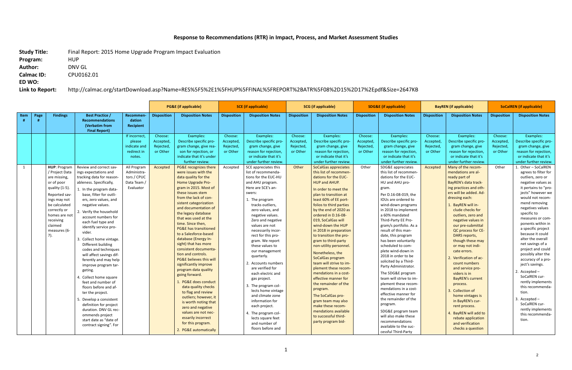## Response to Recommendations (RTR) in Impact, Process, and Market Assessment Studies

**Study Title:** Final Report: 2015 Home Upgrade Program Impact Evaluation Program: **HUP** Author: **DNV GL Calmac ID:** CPU0162.01 **ED WO:** 

Link to Report: http://calmac.org/startDownload.asp?Name=RES%5F5%2E1%5FHUP%5FFINAL%5FREPORT%2BATR%5F08%2D15%2D17%2Epdf&Size=2647KB

|      |      |                                                                                                                                                                                                                    | <b>PG&amp;E</b> (if applicable)                                                                                                                                                                                                                                                                                                                                                                                                                                                                                                                                               |                                                                                                                                           | <b>SCE</b> (if applicable)                                |                                                                                                                                                                                                                                                                                                                                                                                                                                                                                                                                                                                                                                                                                                                                                                                   | <b>SCG</b> (if applicable)                                |                                                                                                                                                                                                                                                                                                                                                                                                                                                                                                                                                                                                                                    | <b>SDG&amp;E</b> (if applicable)                      |                                                                                                                                                                                                                                                                                                                                                                                                                                                                                                                                                                                                                                                                                                                                  | <b>BayREN</b> (if applicable)                          |                                                                                                                                                                                                                                                                                                                                                                                                                                                                                                                                                                                                                                                                                                                         | <b>SoCalREN</b> (if applicable)                          |                                                                                                                                                                                                                                                                                                                                                                                                                                                                                                                                                                                                                                                    |                                                       |                                                                                                                                                                                                                                                                                                                                                                                                                                                                                                                                                                                                                                                          |
|------|------|--------------------------------------------------------------------------------------------------------------------------------------------------------------------------------------------------------------------|-------------------------------------------------------------------------------------------------------------------------------------------------------------------------------------------------------------------------------------------------------------------------------------------------------------------------------------------------------------------------------------------------------------------------------------------------------------------------------------------------------------------------------------------------------------------------------|-------------------------------------------------------------------------------------------------------------------------------------------|-----------------------------------------------------------|-----------------------------------------------------------------------------------------------------------------------------------------------------------------------------------------------------------------------------------------------------------------------------------------------------------------------------------------------------------------------------------------------------------------------------------------------------------------------------------------------------------------------------------------------------------------------------------------------------------------------------------------------------------------------------------------------------------------------------------------------------------------------------------|-----------------------------------------------------------|------------------------------------------------------------------------------------------------------------------------------------------------------------------------------------------------------------------------------------------------------------------------------------------------------------------------------------------------------------------------------------------------------------------------------------------------------------------------------------------------------------------------------------------------------------------------------------------------------------------------------------|-------------------------------------------------------|----------------------------------------------------------------------------------------------------------------------------------------------------------------------------------------------------------------------------------------------------------------------------------------------------------------------------------------------------------------------------------------------------------------------------------------------------------------------------------------------------------------------------------------------------------------------------------------------------------------------------------------------------------------------------------------------------------------------------------|--------------------------------------------------------|-------------------------------------------------------------------------------------------------------------------------------------------------------------------------------------------------------------------------------------------------------------------------------------------------------------------------------------------------------------------------------------------------------------------------------------------------------------------------------------------------------------------------------------------------------------------------------------------------------------------------------------------------------------------------------------------------------------------------|----------------------------------------------------------|----------------------------------------------------------------------------------------------------------------------------------------------------------------------------------------------------------------------------------------------------------------------------------------------------------------------------------------------------------------------------------------------------------------------------------------------------------------------------------------------------------------------------------------------------------------------------------------------------------------------------------------------------|-------------------------------------------------------|----------------------------------------------------------------------------------------------------------------------------------------------------------------------------------------------------------------------------------------------------------------------------------------------------------------------------------------------------------------------------------------------------------------------------------------------------------------------------------------------------------------------------------------------------------------------------------------------------------------------------------------------------------|
| Item | Page | <b>Findings</b>                                                                                                                                                                                                    | <b>Best Practice /</b><br><b>Recommendations</b><br>(Verbatim from<br><b>Final Report)</b>                                                                                                                                                                                                                                                                                                                                                                                                                                                                                    | Recommen-<br>dation<br><b>Recipient</b>                                                                                                   | <b>Disposition</b>                                        | <b>Disposition Notes</b>                                                                                                                                                                                                                                                                                                                                                                                                                                                                                                                                                                                                                                                                                                                                                          | <b>Disposition</b>                                        | <b>Disposition Notes</b>                                                                                                                                                                                                                                                                                                                                                                                                                                                                                                                                                                                                           | <b>Disposition</b>                                    | <b>Disposition Notes</b>                                                                                                                                                                                                                                                                                                                                                                                                                                                                                                                                                                                                                                                                                                         | <b>Disposition</b>                                     | <b>Disposition Notes</b>                                                                                                                                                                                                                                                                                                                                                                                                                                                                                                                                                                                                                                                                                                | <b>Disposition</b>                                       | <b>Disposition Notes</b>                                                                                                                                                                                                                                                                                                                                                                                                                                                                                                                                                                                                                           | <b>Disposition</b>                                    | <b>Disposition Notes</b>                                                                                                                                                                                                                                                                                                                                                                                                                                                                                                                                                                                                                                 |
| 1    |      | HUP: Program<br>/ Project Data<br>are missing,<br>or of poor<br>quality (1-5)<br>Reported sav-<br>ings may not<br>be calculated<br>correctly or<br>homes are not<br>receiving<br>claimed<br>measures (6-<br>$7$ ). | Review and correct sav-<br>ings expectations and<br>tracking data for reason<br>ableness. Specifically,<br>1. In the program data-<br>base, filter for outli-<br>ers, zero values, and<br>negative values.<br>. Verify the household<br>account numbers for<br>each fuel type and<br>identify service pro-<br>vider.<br>Collect home vintage.<br>Different building<br>codes and techniques<br>will affect savings dif-<br>ferently and may help<br>improve program tar-<br>geting.<br>Collect home square<br>feet and number of<br>floors before and af-<br>ter the project. | If incorrect.<br>please<br>indicate and<br>redirect in<br>notes.<br>All Program<br>Administra-<br>tors / CPUC<br>Data Team /<br>Evaluator | Choose:<br>Accepted,<br>Rejected,<br>or Other<br>Accepted | Examples:<br>Describe specific pro-<br>gram change, give rea-<br>son for rejection, or<br>indicate that it's under<br>further review.<br>PG&E recognizes there<br>were issues with the<br>data quality for the<br><b>Home Upgrade Pro-</b><br>gram in 2015. Most of<br>these issues stem<br>from the lack of con-<br>sistent categorization<br>and documentation of<br>the legacy database<br>that was used at the<br>time. Since then,<br><b>PG&amp;E has transitioned</b><br>to a Salesforce-based<br>database (Energy In-<br>sight) that has more<br>consistent documenta-<br>tion and controls.<br><b>PG&amp;E believes this will</b><br>significantly improve<br>program data quality<br>going forward.<br>1. PG&E does conduct<br>data quality checks<br>to flag and review | Choose:<br>Accepted,<br>Rejected,<br>or Other<br>Accepted | Examples:<br>Describe specific pro-<br>gram change, give<br>reason for rejection,<br>or indicate that it's<br>under further review.<br>SCE appreciates this<br>list of recommenda-<br>tions for the EUC-HU<br>and AHU program.<br>Here are SCE's an-<br>swers:<br>1. The program<br>tracks outliers.<br>zero values, and<br>negative values.<br>Zero and negative<br>values are not<br>necessarily incor-<br>rect for this pro-<br>gram. We report<br>these values to<br>our management<br>quarterly.<br>2. Accounts numbers<br>are verified for<br>each electric and<br>gas project.<br>3. The program col-<br>lects home vintage | Choose:<br>Accepted<br>Rejected,<br>or Other<br>Other | Examples:<br>Describe specific pro-<br>gram change, give<br>reason for rejection,<br>or indicate that it's<br>under further review.<br><b>SoCalGas appreciates</b><br>this list of recommen-<br>dations for the EUC-<br><b>HUP and AHUP.</b><br>In order to meet the<br>plan to transition at<br>least 60% of EE port-<br>folios to third parties<br>by the end of 2020 as<br>ordered in D.16-08-<br>019, SoCalGas will<br>wind-down the HUP<br>in 2018 in preparation<br>to transition the pro-<br>gram to third-party<br>non-utility personnel<br>Nonetheless, the<br>SoCalGas program<br>team will strive to im-<br>plement these recom-<br>mendations in a cost-<br>effective manner for<br>the remainder of the<br>program. | Choose:<br>Accepted,<br>Rejected,<br>or Other<br>Other | Examples:<br>Describe specific pro-<br>gram change, give<br>reason for rejection,<br>or indicate that it's<br>under further review.<br>SDG&E appreciates<br>this list of recommen-<br>dations for the EUC-<br>HU and AHU pro-<br>gram.<br>Per D.16-08-019, the<br>IOUs are ordered to<br>wind-down programs<br>in 2018 to implement<br>a 60% mandated<br>Third-Party EE Pro-<br>gram/s portfolio. As a<br>result of this man-<br>date, this program<br>has been voluntarily<br>scheduled to com-<br>plete wind-down in<br>2018 in order to be<br>solicited by a Third-<br>Party Administrator.<br>The SDG&E program<br>team will strive to im-<br>plement these recom-<br>mendations in a cost-<br>effective manner for | Choose:<br>Accepted<br>Rejected,<br>or Other<br>Accepted | Examples:<br>Describe specific pro-<br>gram change, give<br>reason for rejection,<br>or indicate that it's<br>under further review.<br>Many of the recom-<br>mendations are al-<br>ready part of<br>BayREN's data track-<br>ing practices and oth-<br>ers will be added. Ad-<br>dressing each:<br>1. BayREN will in-<br>clude checks for<br>outliers, zero and<br>negative values in<br>our pre-submittal<br>QC process for CE-<br>DARS reports,<br>though these may<br>or may not indi-<br>cate errors.<br>2. Verification of ac-<br>count numbers<br>and service pro-<br>viders is in<br><b>BayREN's current</b><br>process.<br>3. Collection of | Choose:<br>Accepted<br>Rejected,<br>or Other<br>Other | Examples:<br>Describe specific pro-<br>gram change, give<br>reason for rejection,<br>or indicate that it's<br>under further review.<br>1. Other - SoCalREN<br>agrees to filter for<br>outliers, zero or<br>negative values as<br>it pertains to "pro-<br>iects" however we<br>would not recom-<br>mend removing<br>negatives values<br>specific to<br>measures or com-<br>ponents within in<br>a specific project<br>because it could<br>alter the overall<br>net savings of a<br>project and could<br>possibly alter the<br>accuracy of a pro-<br>ject's savings.<br>2. Accepted $-$<br>SoCalREN cur-<br>rently implements<br>this recommenda-<br>tion. |
|      |      |                                                                                                                                                                                                                    | 5. Develop a consistent<br>definition for project<br>duration. DNV GL rec-<br>ommends project<br>start date as "date of<br>contract signing". For                                                                                                                                                                                                                                                                                                                                                                                                                             |                                                                                                                                           |                                                           | outliers; however, it<br>is worth noting that<br>zero and negative<br>values are not nec-<br>essarily incorrect<br>for this program.<br>2. PG&E automatically                                                                                                                                                                                                                                                                                                                                                                                                                                                                                                                                                                                                                     |                                                           | and climate zone<br>information for<br>each project.<br>4. The program col-<br>lects square feet<br>and number of<br>floors before and                                                                                                                                                                                                                                                                                                                                                                                                                                                                                             |                                                       | The SoCalGas pro-<br>gram team may also<br>make these recom-<br>mendations available<br>to successful third-<br>party program bid-                                                                                                                                                                                                                                                                                                                                                                                                                                                                                                                                                                                               |                                                        | the remainder of the<br>program.<br>SDG&E program team<br>will also make these<br>recommendations<br>available to the suc-<br>cessful Third-Party                                                                                                                                                                                                                                                                                                                                                                                                                                                                                                                                                                       |                                                          | home vintages is<br>in BayREN's cur-<br>rent process.<br>4. BayREN will add to<br>rebate application<br>and verification<br>checks a question                                                                                                                                                                                                                                                                                                                                                                                                                                                                                                      |                                                       | 3. Accepted $-$<br>SoCalREN cur-<br>rently implements<br>this recommenda-<br>tion.                                                                                                                                                                                                                                                                                                                                                                                                                                                                                                                                                                       |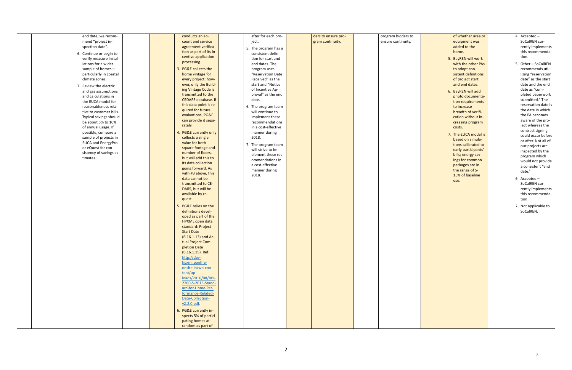| end date, we recom-       | conducts an ac-            | after for each pro-                       | ders to ensure pro- | program bidders to |
|---------------------------|----------------------------|-------------------------------------------|---------------------|--------------------|
| mend "project in-         | count and service          | ject.                                     | gram continuity.    | ensure continuity. |
| spection date".           | agreement verifica-        | 5. The program has a                      |                     |                    |
| 6. Continue or begin to   | tion as part of its in-    | consistent defini-                        |                     |                    |
| verify measure instal-    | centive application        | tion for start and                        |                     |                    |
| lations for a wider       | processing.                | end dates. The                            |                     |                    |
| sample of homes-          | 3. PG&E collects the       | program uses                              |                     |                    |
| particularly in coastal   | home vintage for           | "Reservation Date                         |                     |                    |
| climate zones.            | every project; how-        | Received" as the                          |                     |                    |
| 7. Review the electric    | ever, only the Build-      | start and "Notice                         |                     |                    |
| and gas assumptions       | ing Vintage Code is        | of Incentive Ap-                          |                     |                    |
| and calculations in       | transmitted to the         | proval" as the end                        |                     |                    |
| the EUCA model for        | <b>CEDARS</b> database. If | date.                                     |                     |                    |
| reasonableness rela-      | this data point is re-     | 6. The program team                       |                     |                    |
| tive to customer bills.   | quired for future          | will continue to                          |                     |                    |
| Typical savings should    | evaluations, PG&E          | implement these                           |                     |                    |
| be about 5% to 10%        | can provide it sepa-       | recommendations                           |                     |                    |
| of annual usage. If       | rately.                    | in a cost-effective                       |                     |                    |
| possible, compare a       | 4. PG&E currently only     | manner during                             |                     |                    |
| sample of projects in     | collects a single          | 2018.                                     |                     |                    |
| <b>EUCA and EnergyPro</b> | value for both             |                                           |                     |                    |
| or eQuest for con-        | square footage and         | 7. The program team<br>will strive to im- |                     |                    |
| sistency of savings es-   | number of floors,          |                                           |                     |                    |
| timates.                  | but will add this to       | plement these rec-<br>ommendations in     |                     |                    |
|                           | its data collection        | a cost-effective                          |                     |                    |
|                           | going forward. As          | manner during                             |                     |                    |
|                           | with #3 above, this        | 2018.                                     |                     |                    |
|                           | data cannot be             |                                           |                     |                    |
|                           | transmitted to CE-         |                                           |                     |                    |
|                           | DARS, but will be          |                                           |                     |                    |
|                           | available by re-           |                                           |                     |                    |
|                           | quest.                     |                                           |                     |                    |
|                           | 5. PG&E relies on the      |                                           |                     |                    |
|                           | definitions devel-         |                                           |                     |                    |
|                           | oped as part of the        |                                           |                     |                    |
|                           | HPXML open data            |                                           |                     |                    |
|                           | standard: Project          |                                           |                     |                    |
|                           | <b>Start Date</b>          |                                           |                     |                    |
|                           | (B.16.1.13) and Ac-        |                                           |                     |                    |
|                           | tual Project Com-          |                                           |                     |                    |
|                           | pletion Date               |                                           |                     |                    |
|                           | (B.16.1.15). Ref:          |                                           |                     |                    |
|                           | http://dev-                |                                           |                     |                    |
|                           | hpxml.panthe-              |                                           |                     |                    |
|                           | onsite.io/wp-con-          |                                           |                     |                    |
|                           | tent/up-                   |                                           |                     |                    |
|                           | loads/2016/08/BPI-         |                                           |                     |                    |
|                           | 2200-S-2013-Stand-         |                                           |                     |                    |
|                           | ard-for-Home-Per-          |                                           |                     |                    |
|                           | formance-Related-          |                                           |                     |                    |
|                           | Data-Collection-           |                                           |                     |                    |
|                           | v2.2.0.pdf.                |                                           |                     |                    |
|                           | 6. PG&E currently in-      |                                           |                     |                    |
|                           | spects 5% of partici-      |                                           |                     |                    |
|                           | pating homes at            |                                           |                     |                    |
|                           | random as part of          |                                           |                     |                    |

| of whether area or<br>equipment was<br>added to the<br>home.<br>5. BayREN will work<br>with the other PAs<br>to adopt con-<br>sistent definitions<br>of project start<br>and end dates.<br>6. BayREN will add<br>photo documenta-<br>tion requirements<br>to increase<br>breadth of verifi-<br>cation without in-<br>creasing program<br>costs. |  | 4. Accepted -<br>SoCalREN cur-<br>rently implements<br>this recommenda-<br>tion.<br>5. Other - SoCalREN<br>recommends uti-<br>lizing "reservation<br>date" as the start<br>date and the end<br>date as "com-<br>pleted paperwork<br>submitted." The<br>reservation date is<br>the date in which<br>the PA becomes<br>aware of the pro-<br>ject whereas the<br>contract signing |
|-------------------------------------------------------------------------------------------------------------------------------------------------------------------------------------------------------------------------------------------------------------------------------------------------------------------------------------------------|--|--------------------------------------------------------------------------------------------------------------------------------------------------------------------------------------------------------------------------------------------------------------------------------------------------------------------------------------------------------------------------------|
| 7. The EUCA model is<br>based on simula-<br>tions calibrated to<br>early participants'<br>bills; energy sav-<br>ings for common<br>packages are in<br>the range of 5-<br>15% of baseline<br>use.                                                                                                                                                |  | could occur before<br>or after. Not all of<br>our projects are<br>inspected by the<br>program which<br>would not provide<br>a consistent "end<br>date."<br>6. Accepted -<br>SoCalREN cur-<br>rently implements<br>this recommenda-<br>tion<br>7. Not applicable to<br>SoCalREN.                                                                                                |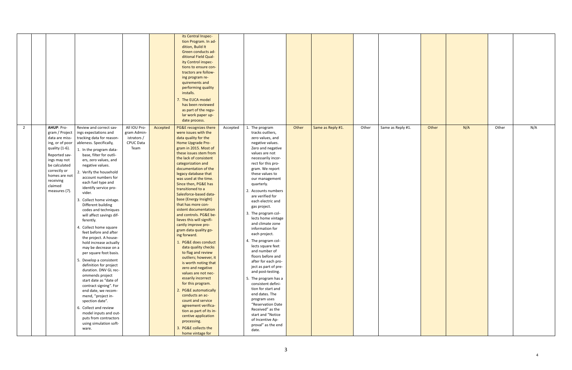|                |                                                                                                                                                                                                                                                                                                                                                                                                                                                                                                                                                                                                                                                                                                                                                                                                                                                                                                                                                                                                                                                                                                                                                         |                                                                        |          | its Central Inspec-<br>tion Program. In ad-<br>dition, Build It<br>Green conducts ad-<br>ditional Field Qual-<br>ity Control inspec-<br>tions to ensure con-<br>tractors are follow-<br>ing program re-<br>quirements and<br>performing quality<br>installs.<br>7. The EUCA model<br>has been reviewed<br>as part of the regu-<br>lar work paper up-<br>date process.                                                                                                                                                                                                                                                                                                                                                                                                                                                                                                                                                                                          |          |                                                                                                                                                                                                                                                                                                                                                                                                                                                                                                                                                                                                                                                                                                                                                                                                    |       |                   |       |                   |       |     |       |     |
|----------------|---------------------------------------------------------------------------------------------------------------------------------------------------------------------------------------------------------------------------------------------------------------------------------------------------------------------------------------------------------------------------------------------------------------------------------------------------------------------------------------------------------------------------------------------------------------------------------------------------------------------------------------------------------------------------------------------------------------------------------------------------------------------------------------------------------------------------------------------------------------------------------------------------------------------------------------------------------------------------------------------------------------------------------------------------------------------------------------------------------------------------------------------------------|------------------------------------------------------------------------|----------|----------------------------------------------------------------------------------------------------------------------------------------------------------------------------------------------------------------------------------------------------------------------------------------------------------------------------------------------------------------------------------------------------------------------------------------------------------------------------------------------------------------------------------------------------------------------------------------------------------------------------------------------------------------------------------------------------------------------------------------------------------------------------------------------------------------------------------------------------------------------------------------------------------------------------------------------------------------|----------|----------------------------------------------------------------------------------------------------------------------------------------------------------------------------------------------------------------------------------------------------------------------------------------------------------------------------------------------------------------------------------------------------------------------------------------------------------------------------------------------------------------------------------------------------------------------------------------------------------------------------------------------------------------------------------------------------------------------------------------------------------------------------------------------------|-------|-------------------|-------|-------------------|-------|-----|-------|-----|
| $\overline{2}$ | AHUP: Pro-<br>Review and correct sav-<br>gram / Project<br>ings expectations and<br>tracking data for reason-<br>data are miss-<br>ing, or of poor<br>ableness. Specifically,<br>quality (1-6).<br>1. In the program data-<br>base, filter for outli-<br>Reported sav-<br>ers, zero values, and<br>ings may not<br>be calculated<br>negative values.<br>correctly or<br>2. Verify the household<br>homes are not<br>account numbers for<br>receiving<br>each fuel type and<br>claimed<br>identify service pro-<br>measures (7).<br>vider.<br>3. Collect home vintage.<br>Different building<br>codes and techniques<br>will affect savings dif-<br>ferently.<br>4. Collect home square<br>feet before and after<br>the project. A house-<br>hold increase actually<br>may be decrease on a<br>per square foot basis.<br>5. Develop a consistent<br>definition for project<br>duration. DNV GL rec-<br>ommends project<br>start date as "date of<br>contract signing". For<br>end date, we recom-<br>mend, "project in-<br>spection date".<br>6. Collect and review<br>model inputs and out-<br>puts from contractors<br>using simulation soft-<br>ware. | All IOU Pro-<br>gram Admin-<br>istrators /<br><b>CPUC Data</b><br>Team | Accepted | PG&E recognizes there<br>were issues with the<br>data quality for the<br>Home Upgrade Pro-<br>gram in 2015. Most of<br>these issues stem from<br>the lack of consistent<br>categorization and<br>documentation of the<br>legacy database that<br>was used at the time.<br>Since then, PG&E has<br>transitioned to a<br>Salesforce-based data-<br>base (Energy Insight)<br>that has more con-<br>sistent documentation<br>and controls. PG&E be-<br>lieves this will signifi-<br>cantly improve pro-<br>gram data quality go-<br>ing forward.<br>1. PG&E does conduct<br>data quality checks<br>to flag and review<br>outliers; however, it<br>is worth noting that<br>zero and negative<br>values are not nec-<br>essarily incorrect<br>for this program.<br>2. PG&E automatically<br>conducts an ac-<br>count and service<br>agreement verifica-<br>tion as part of its in-<br>centive application<br>processing.<br>3. PG&E collects the<br>home vintage for | Accepted | The program<br>tracks outliers,<br>zero values, and<br>negative values.<br>Zero and negative<br>values are not<br>necessarily incor-<br>rect for this pro-<br>gram. We report<br>these values to<br>our management<br>quarterly.<br>2. Accounts numbers<br>are verified for<br>each electric and<br>gas project.<br>3. The program col-<br>lects home vintage<br>and climate zone<br>information for<br>each project.<br>4. The program col-<br>lects square feet<br>and number of<br>floors before and<br>after for each pro-<br>ject as part of pre-<br>and post-testing.<br>5. The program has a<br>consistent defini-<br>tion for start and<br>end dates. The<br>program uses<br>"Reservation Date<br>Received" as the<br>start and "Notice<br>of Incentive Ap-<br>proval" as the end<br>date. | Other | Same as Reply #1. | Other | Same as Reply #1. | Other | N/A | Other | N/A |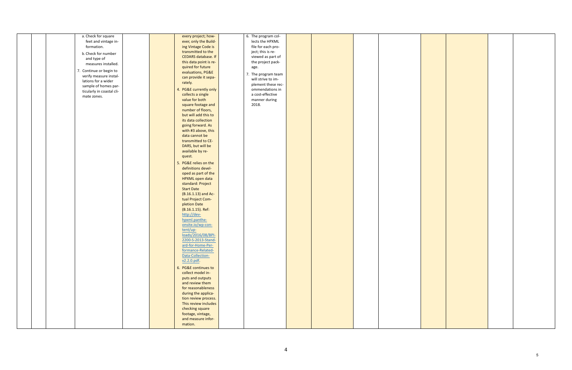| a. Check for square       | every project; how-        | 6. The program col- |  |
|---------------------------|----------------------------|---------------------|--|
| feet and vintage in-      | ever, only the Build-      | lects the HPXML     |  |
| formation.                | ing Vintage Code is        | file for each pro-  |  |
|                           | transmitted to the         |                     |  |
| b. Check for number       |                            | ject; this is re-   |  |
| and type of               | <b>CEDARS</b> database. If | viewed as part of   |  |
| measures installed.       | this data point is re-     | the project pack-   |  |
|                           | quired for future          | age.                |  |
| 7. Continue or begin to   | evaluations, PG&E          |                     |  |
| verify measure instal-    | can provide it sepa-       | 7. The program team |  |
| lations for a wider       | rately.                    | will strive to im-  |  |
| sample of homes par-      |                            | plement these rec-  |  |
| ticularly in coastal cli- | 4. PG&E currently only     | ommendations in     |  |
| mate zones.               | collects a single          | a cost-effective    |  |
|                           | value for both             | manner during       |  |
|                           | square footage and         | 2018.               |  |
|                           | number of floors,          |                     |  |
|                           | but will add this to       |                     |  |
|                           |                            |                     |  |
|                           | its data collection        |                     |  |
|                           | going forward. As          |                     |  |
|                           | with #3 above, this        |                     |  |
|                           | data cannot be             |                     |  |
|                           | transmitted to CE-         |                     |  |
|                           | DARS, but will be          |                     |  |
|                           | available by re-           |                     |  |
|                           |                            |                     |  |
|                           | quest.                     |                     |  |
|                           | 5. PG&E relies on the      |                     |  |
|                           | definitions devel-         |                     |  |
|                           | oped as part of the        |                     |  |
|                           | HPXML open data            |                     |  |
|                           | standard: Project          |                     |  |
|                           |                            |                     |  |
|                           | <b>Start Date</b>          |                     |  |
|                           | (B.16.1.13) and Ac-        |                     |  |
|                           | tual Project Com-          |                     |  |
|                           | pletion Date               |                     |  |
|                           | (B.16.1.15). Ref:          |                     |  |
|                           | http://dev-                |                     |  |
|                           | hpxml.panthe-              |                     |  |
|                           | onsite.io/wp-con-          |                     |  |
|                           | tent/up-                   |                     |  |
|                           |                            |                     |  |
|                           | loads/2016/08/BPI-         |                     |  |
|                           | 2200-S-2013-Stand-         |                     |  |
|                           | ard-for-Home-Per-          |                     |  |
|                           | formance-Related-          |                     |  |
|                           | Data-Collection-           |                     |  |
|                           | v2.2.0.pdf.                |                     |  |
|                           |                            |                     |  |
|                           | 6. PG&E continues to       |                     |  |
|                           | collect model in-          |                     |  |
|                           | puts and outputs           |                     |  |
|                           | and review them            |                     |  |
|                           | for reasonableness         |                     |  |
|                           | during the applica-        |                     |  |
|                           | tion review process.       |                     |  |
|                           |                            |                     |  |
|                           | This review includes       |                     |  |
|                           | checking square            |                     |  |
|                           | footage, vintage,          |                     |  |
|                           | and measure infor-         |                     |  |
|                           | mation.                    |                     |  |
|                           |                            |                     |  |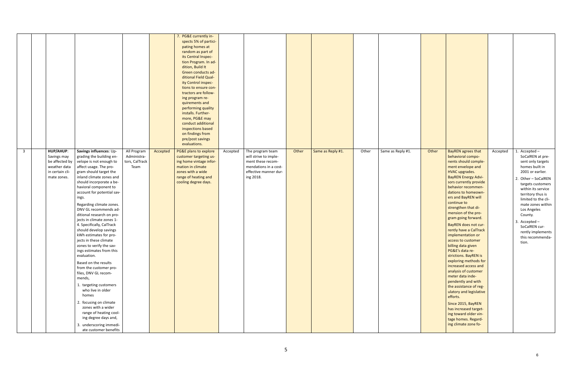|                |                                                                                              |                                                                                                                                                                                                                                                                                                                                                                                                                                                                                                                                                                                                                                                                                                                                                                                                                                                               |                                                      |          | 7. PG&E currently in-<br>spects 5% of partici-<br>pating homes at<br>random as part of<br>its Central Inspec-<br>tion Program. In ad-<br>dition, Build It<br>Green conducts ad-<br>ditional Field Qual-<br>ity Control inspec-<br>tions to ensure con-<br>tractors are follow-<br>ing program re-<br>quirements and<br>performing quality<br>installs. Further-<br>more, PG&E may<br>conduct additional<br>inspections based<br>on findings from<br>pre/post savings<br>evaluations. |          |                                                                                                                               |       |                   |       |                   |
|----------------|----------------------------------------------------------------------------------------------|---------------------------------------------------------------------------------------------------------------------------------------------------------------------------------------------------------------------------------------------------------------------------------------------------------------------------------------------------------------------------------------------------------------------------------------------------------------------------------------------------------------------------------------------------------------------------------------------------------------------------------------------------------------------------------------------------------------------------------------------------------------------------------------------------------------------------------------------------------------|------------------------------------------------------|----------|--------------------------------------------------------------------------------------------------------------------------------------------------------------------------------------------------------------------------------------------------------------------------------------------------------------------------------------------------------------------------------------------------------------------------------------------------------------------------------------|----------|-------------------------------------------------------------------------------------------------------------------------------|-------|-------------------|-------|-------------------|
| $\overline{3}$ | HUP/AHUP:<br>Savings may<br>be affected by<br>weather data<br>in certain cli-<br>mate zones. | Savings influences: Up-<br>grading the building en-<br>velope is not enough to<br>affect usage. The pro-<br>gram should target the<br>inland climate zones and<br>should incorporate a be-<br>havioral component to<br>account for potential sav-<br>ings.<br>Regarding climate zones.<br>DNV GL recommends ad-<br>ditional research on pro-<br>jects in climate zones 1-<br>4. Specifically, CalTrack<br>should develop savings<br>kWh estimates for pro-<br>jects in these climate<br>zones to verify the sav-<br>ings estimates from this<br>evaluation.<br>Based on the results<br>from the customer pro-<br>files, DNV GL recom-<br>mends,<br>1. targeting customers<br>who live in older<br>homes<br>2. focusing on climate<br>zones with a wider<br>range of heating cool-<br>ing degree days and,<br>3. underscoring immedi-<br>ate customer benefits | All Program<br>Administra-<br>tors, CalTrack<br>Team | Accepted | PG&E plans to explore<br>customer targeting us-<br>ing home vintage infor-<br>mation in climate<br>zones with a wide<br>range of heating and<br>cooling degree days.                                                                                                                                                                                                                                                                                                                 | Accepted | The program team<br>will strive to imple-<br>ment these recom-<br>mendations in a cost-<br>effective manner dur-<br>ing 2018. | Other | Same as Reply #1. | Other | Same as Reply #1. |

| Other | <b>BayREN</b> agrees that<br>behavioral compo-<br>nents should comple-<br>ment envelope and<br><b>HVAC</b> upgrades.<br><b>BayREN Energy Advi-</b><br>sors currently provide<br>behavior recommen-<br>dations to homeown-<br>ers and BayREN will<br>continue to<br>strengthen that di-<br>mension of the pro-<br>gram going forward.<br>BayREN does not cur-<br>rently have a CalTrack<br>implementation or<br>access to customer<br>billing data given<br>PG&E's data re-<br>strictions. BayREN is<br>exploring methods for<br>increased access and<br>analysis of customer<br>meter data inde-<br>pendently and with<br>the assistance of reg-<br>ulatory and legislative<br>efforts.<br>Since 2015, BayREN<br>has increased target-<br>ing toward older vin-<br>tage homes. Regard-<br>ing climate zone fo- | Accepted | 1. Accepted $-$<br>SoCalREN at pre-<br>sent only targets<br>homes built in<br>2001 or earlier.<br>2. Other - SoCalREN<br>targets customers<br>within its service<br>territory thus is<br>limited to the cli-<br>mate zones within<br>Los Angeles<br>County.<br>3. Accepted $-$<br>SoCalREN cur-<br>rently implements<br>this recommenda-<br>tion. |
|-------|----------------------------------------------------------------------------------------------------------------------------------------------------------------------------------------------------------------------------------------------------------------------------------------------------------------------------------------------------------------------------------------------------------------------------------------------------------------------------------------------------------------------------------------------------------------------------------------------------------------------------------------------------------------------------------------------------------------------------------------------------------------------------------------------------------------|----------|---------------------------------------------------------------------------------------------------------------------------------------------------------------------------------------------------------------------------------------------------------------------------------------------------------------------------------------------------|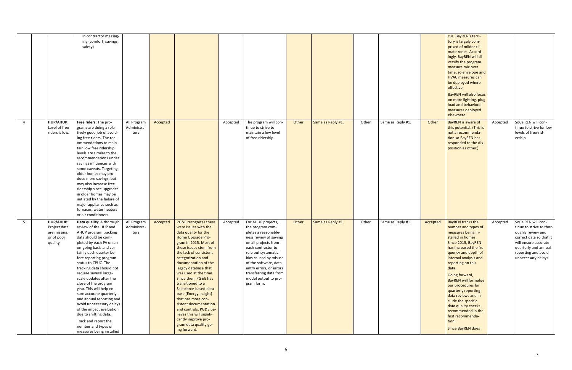|   |                                                                     | in contractor messag-<br>ing (comfort, savings,<br>safety)                                                                                                                                                                                                                                                                                                                                                                                                                                                                                                                                  |                                    |          |                                                                                                                                                                                                                                                                                                                                                                                                                                                                                                                                              |          |                                                                                                                                                                                                                                                                                                            |       |                   |       |                   |          | cus, BayREN's terri-<br>tory is largely com-<br>prised of milder cli-<br>mate zones. Accord-<br>ingly, BayREN will di-<br>versify the program<br>measure mix over<br>time, so envelope and<br><b>HVAC</b> measures can<br>be deployed where<br>effective.<br><b>BayREN will also focus</b><br>on more lighting, plug<br>load and behavioral<br>measures deployed<br>elsewhere.                                                                                               |          |                                                                                                                                                                                              |
|---|---------------------------------------------------------------------|---------------------------------------------------------------------------------------------------------------------------------------------------------------------------------------------------------------------------------------------------------------------------------------------------------------------------------------------------------------------------------------------------------------------------------------------------------------------------------------------------------------------------------------------------------------------------------------------|------------------------------------|----------|----------------------------------------------------------------------------------------------------------------------------------------------------------------------------------------------------------------------------------------------------------------------------------------------------------------------------------------------------------------------------------------------------------------------------------------------------------------------------------------------------------------------------------------------|----------|------------------------------------------------------------------------------------------------------------------------------------------------------------------------------------------------------------------------------------------------------------------------------------------------------------|-------|-------------------|-------|-------------------|----------|------------------------------------------------------------------------------------------------------------------------------------------------------------------------------------------------------------------------------------------------------------------------------------------------------------------------------------------------------------------------------------------------------------------------------------------------------------------------------|----------|----------------------------------------------------------------------------------------------------------------------------------------------------------------------------------------------|
| 4 | HUP/AHUP:<br>Level of free<br>riders is low.                        | Free riders: The pro-<br>grams are doing a rela-<br>tively good job of avoid-<br>ing free riders. The rec-<br>ommendations to main-<br>tain low free ridership<br>levels are similar to the<br>recommendations under<br>savings influences with<br>some caveats. Targeting<br>older homes may pro-<br>duce more savings, but<br>may also increase free<br>ridership since upgrades<br>in older homes may be<br>initiated by the failure of<br>major appliance such as<br>furnaces, water heaters<br>or air conditioners.                                                                    | All Program<br>Administra-<br>tors | Accepted |                                                                                                                                                                                                                                                                                                                                                                                                                                                                                                                                              | Accepted | The program will con-<br>tinue to strive to<br>maintain a low level<br>of free ridership.                                                                                                                                                                                                                  | Other | Same as Reply #1. | Other | Same as Reply #1. | Other    | BayREN is aware of<br>this potential. (This is<br>not a recommenda-<br>tion so BayREN has<br>responded to the dis-<br>position as other.)                                                                                                                                                                                                                                                                                                                                    | Accepted | SoCalREN will con-<br>tinue to strive for low<br>levels of free-rid-<br>ership.                                                                                                              |
| 5 | HUP/AHUP:<br>Project data<br>are missing,<br>or of poor<br>quality. | Data quality: A thorough<br>review of the HUP and<br>AHUP program tracking<br>data should be com-<br>pleted by each PA on an<br>on-going basis and cer-<br>tainly each quarter be-<br>fore reporting program<br>status to CPUC. The<br>tracking data should not<br>require several large-<br>scale updates after the<br>close of the program<br>year. This will help en-<br>sure accurate quarterly<br>and annual reporting and<br>avoid unnecessary delays<br>of the impact evaluation<br>due to shifting data.<br>Track and report the<br>number and types of<br>measures being installed | All Program<br>Administra-<br>tors | Accepted | PG&E recognizes there<br>were issues with the<br>data quality for the<br>Home Upgrade Pro-<br>gram in 2015. Most of<br>these issues stem from<br>the lack of consistent<br>categorization and<br>documentation of the<br>legacy database that<br>was used at the time.<br>Since then, PG&E has<br>transitioned to a<br>Salesforce-based data-<br>base (Energy Insight)<br>that has more con-<br>sistent documentation<br>and controls. PG&E be-<br>lieves this will signifi-<br>cantly improve pro-<br>gram data quality go-<br>ing forward. | Accepted | For AHUP projects,<br>the program com-<br>pletes a reasonable-<br>ness review of savings<br>on all projects from<br>each contractor to<br>rule out systematic<br>bias caused by misuse<br>of the software, data<br>entry errors, or errors<br>transferring data from<br>model output to pro-<br>gram form. | Other | Same as Reply #1. | Other | Same as Reply #1. | Accepted | <b>BayREN tracks the</b><br>number and types of<br>measures being in-<br>stalled in homes.<br>Since 2015, BayREN<br>has increased the fre-<br>quency and depth of<br>internal analysis and<br>reporting on this<br>data.<br>Going forward,<br><b>BayREN will formalize</b><br>our procedures for<br>quarterly reporting<br>data reviews and in-<br>clude the specific<br>data quality checks<br>recommended in the<br>first recommenda-<br>tion.<br><b>Since BayREN does</b> | Accepted | SoCalREN will con-<br>tinue to strive to thor-<br>oughly review and<br>correct data so that it<br>will ensure accurate<br>quarterly and annual<br>reporting and avoid<br>unnecessary delays. |